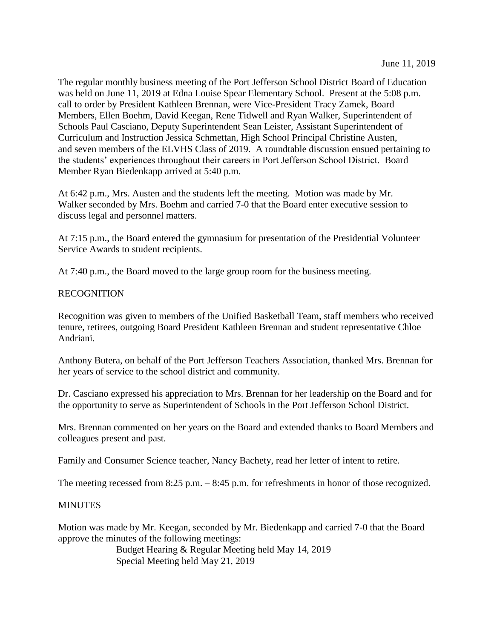The regular monthly business meeting of the Port Jefferson School District Board of Education was held on June 11, 2019 at Edna Louise Spear Elementary School. Present at the 5:08 p.m. call to order by President Kathleen Brennan, were Vice-President Tracy Zamek, Board Members, Ellen Boehm, David Keegan, Rene Tidwell and Ryan Walker, Superintendent of Schools Paul Casciano, Deputy Superintendent Sean Leister, Assistant Superintendent of Curriculum and Instruction Jessica Schmettan, High School Principal Christine Austen, and seven members of the ELVHS Class of 2019. A roundtable discussion ensued pertaining to the students' experiences throughout their careers in Port Jefferson School District. Board Member Ryan Biedenkapp arrived at 5:40 p.m.

At 6:42 p.m., Mrs. Austen and the students left the meeting. Motion was made by Mr. Walker seconded by Mrs. Boehm and carried 7-0 that the Board enter executive session to discuss legal and personnel matters.

At 7:15 p.m., the Board entered the gymnasium for presentation of the Presidential Volunteer Service Awards to student recipients.

At 7:40 p.m., the Board moved to the large group room for the business meeting.

### RECOGNITION

Recognition was given to members of the Unified Basketball Team, staff members who received tenure, retirees, outgoing Board President Kathleen Brennan and student representative Chloe Andriani.

Anthony Butera, on behalf of the Port Jefferson Teachers Association, thanked Mrs. Brennan for her years of service to the school district and community.

Dr. Casciano expressed his appreciation to Mrs. Brennan for her leadership on the Board and for the opportunity to serve as Superintendent of Schools in the Port Jefferson School District.

Mrs. Brennan commented on her years on the Board and extended thanks to Board Members and colleagues present and past.

Family and Consumer Science teacher, Nancy Bachety, read her letter of intent to retire.

The meeting recessed from 8:25 p.m. – 8:45 p.m. for refreshments in honor of those recognized.

### **MINUTES**

Motion was made by Mr. Keegan, seconded by Mr. Biedenkapp and carried 7-0 that the Board approve the minutes of the following meetings:

> Budget Hearing & Regular Meeting held May 14, 2019 Special Meeting held May 21, 2019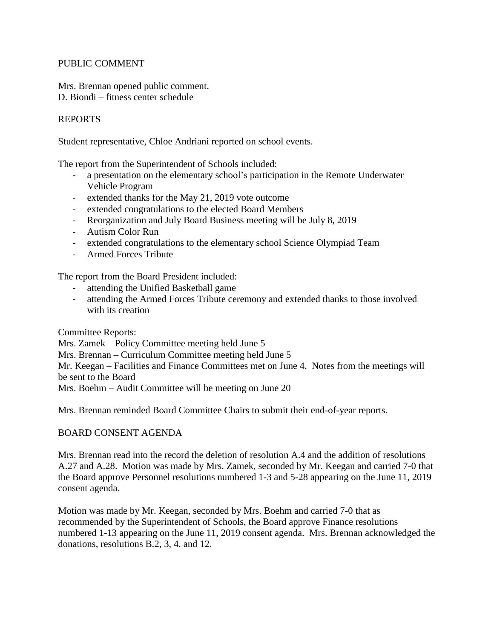# PUBLIC COMMENT

Mrs. Brennan opened public comment. D. Biondi – fitness center schedule

# REPORTS

Student representative, Chloe Andriani reported on school events.

The report from the Superintendent of Schools included:

- a presentation on the elementary school's participation in the Remote Underwater Vehicle Program
- extended thanks for the May 21, 2019 vote outcome
- extended congratulations to the elected Board Members
- Reorganization and July Board Business meeting will be July 8, 2019
- Autism Color Run
- extended congratulations to the elementary school Science Olympiad Team
- Armed Forces Tribute

The report from the Board President included:

- attending the Unified Basketball game
- attending the Armed Forces Tribute ceremony and extended thanks to those involved with its creation

Committee Reports:

Mrs. Zamek – Policy Committee meeting held June 5

Mrs. Brennan – Curriculum Committee meeting held June 5

Mr. Keegan – Facilities and Finance Committees met on June 4. Notes from the meetings will be sent to the Board

Mrs. Boehm – Audit Committee will be meeting on June 20

Mrs. Brennan reminded Board Committee Chairs to submit their end-of-year reports.

# BOARD CONSENT AGENDA

Mrs. Brennan read into the record the deletion of resolution A.4 and the addition of resolutions A.27 and A.28. Motion was made by Mrs. Zamek, seconded by Mr. Keegan and carried 7-0 that the Board approve Personnel resolutions numbered 1-3 and 5-28 appearing on the June 11, 2019 consent agenda.

Motion was made by Mr. Keegan, seconded by Mrs. Boehm and carried 7-0 that as recommended by the Superintendent of Schools, the Board approve Finance resolutions numbered 1-13 appearing on the June 11, 2019 consent agenda. Mrs. Brennan acknowledged the donations, resolutions B.2, 3, 4, and 12.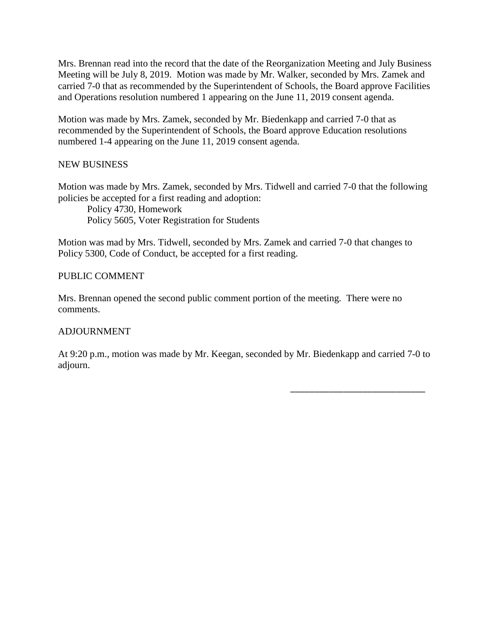Mrs. Brennan read into the record that the date of the Reorganization Meeting and July Business Meeting will be July 8, 2019. Motion was made by Mr. Walker, seconded by Mrs. Zamek and carried 7-0 that as recommended by the Superintendent of Schools, the Board approve Facilities and Operations resolution numbered 1 appearing on the June 11, 2019 consent agenda.

Motion was made by Mrs. Zamek, seconded by Mr. Biedenkapp and carried 7-0 that as recommended by the Superintendent of Schools, the Board approve Education resolutions numbered 1-4 appearing on the June 11, 2019 consent agenda.

# NEW BUSINESS

Motion was made by Mrs. Zamek, seconded by Mrs. Tidwell and carried 7-0 that the following policies be accepted for a first reading and adoption:

Policy 4730, Homework Policy 5605, Voter Registration for Students

Motion was mad by Mrs. Tidwell, seconded by Mrs. Zamek and carried 7-0 that changes to Policy 5300, Code of Conduct, be accepted for a first reading.

### PUBLIC COMMENT

Mrs. Brennan opened the second public comment portion of the meeting. There were no comments.

# ADJOURNMENT

At 9:20 p.m., motion was made by Mr. Keegan, seconded by Mr. Biedenkapp and carried 7-0 to adjourn.

\_\_\_\_\_\_\_\_\_\_\_\_\_\_\_\_\_\_\_\_\_\_\_\_\_\_\_\_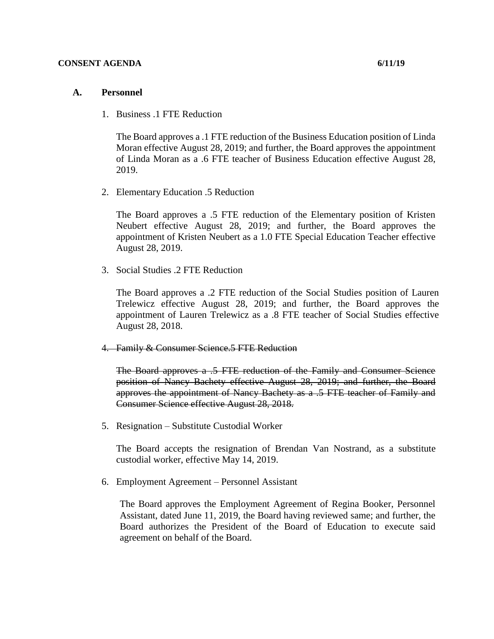#### **CONSENT AGENDA 6/11/19**

### **A. Personnel**

1. Business .1 FTE Reduction

The Board approves a .1 FTE reduction of the Business Education position of Linda Moran effective August 28, 2019; and further, the Board approves the appointment of Linda Moran as a .6 FTE teacher of Business Education effective August 28, 2019.

2. Elementary Education .5 Reduction

The Board approves a .5 FTE reduction of the Elementary position of Kristen Neubert effective August 28, 2019; and further, the Board approves the appointment of Kristen Neubert as a 1.0 FTE Special Education Teacher effective August 28, 2019.

3. Social Studies .2 FTE Reduction

The Board approves a .2 FTE reduction of the Social Studies position of Lauren Trelewicz effective August 28, 2019; and further, the Board approves the appointment of Lauren Trelewicz as a .8 FTE teacher of Social Studies effective August 28, 2018.

4. Family & Consumer Science.5 FTE Reduction

The Board approves a .5 FTE reduction of the Family and Consumer Science position of Nancy Bachety effective August 28, 2019; and further, the Board approves the appointment of Nancy Bachety as a .5 FTE teacher of Family and Consumer Science effective August 28, 2018.

5. Resignation – Substitute Custodial Worker

The Board accepts the resignation of Brendan Van Nostrand, as a substitute custodial worker, effective May 14, 2019.

6. Employment Agreement – Personnel Assistant

The Board approves the Employment Agreement of Regina Booker, Personnel Assistant, dated June 11, 2019, the Board having reviewed same; and further, the Board authorizes the President of the Board of Education to execute said agreement on behalf of the Board.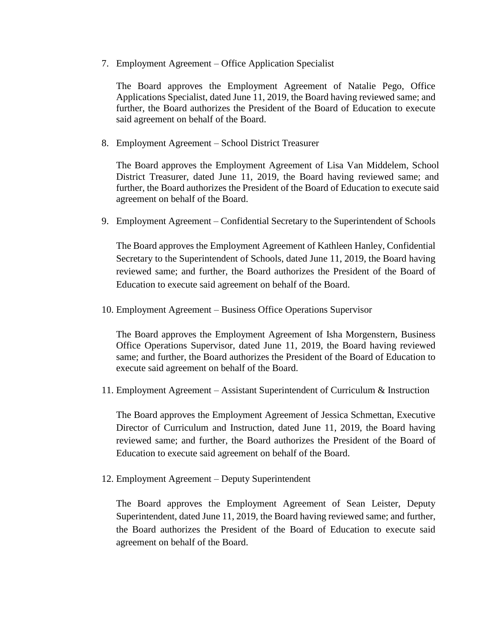7. Employment Agreement – Office Application Specialist

The Board approves the Employment Agreement of Natalie Pego, Office Applications Specialist, dated June 11, 2019, the Board having reviewed same; and further, the Board authorizes the President of the Board of Education to execute said agreement on behalf of the Board.

8. Employment Agreement – School District Treasurer

The Board approves the Employment Agreement of Lisa Van Middelem, School District Treasurer, dated June 11, 2019, the Board having reviewed same; and further, the Board authorizes the President of the Board of Education to execute said agreement on behalf of the Board.

9. Employment Agreement – Confidential Secretary to the Superintendent of Schools

The Board approves the Employment Agreement of Kathleen Hanley, Confidential Secretary to the Superintendent of Schools, dated June 11, 2019, the Board having reviewed same; and further, the Board authorizes the President of the Board of Education to execute said agreement on behalf of the Board.

10. Employment Agreement – Business Office Operations Supervisor

The Board approves the Employment Agreement of Isha Morgenstern, Business Office Operations Supervisor, dated June 11, 2019, the Board having reviewed same; and further, the Board authorizes the President of the Board of Education to execute said agreement on behalf of the Board.

11. Employment Agreement – Assistant Superintendent of Curriculum & Instruction

The Board approves the Employment Agreement of Jessica Schmettan, Executive Director of Curriculum and Instruction, dated June 11, 2019, the Board having reviewed same; and further, the Board authorizes the President of the Board of Education to execute said agreement on behalf of the Board.

12. Employment Agreement – Deputy Superintendent

The Board approves the Employment Agreement of Sean Leister, Deputy Superintendent, dated June 11, 2019, the Board having reviewed same; and further, the Board authorizes the President of the Board of Education to execute said agreement on behalf of the Board.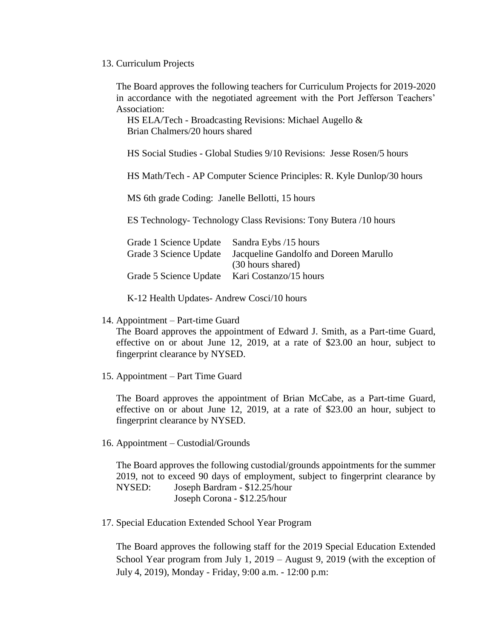### 13. Curriculum Projects

The Board approves the following teachers for Curriculum Projects for 2019-2020 in accordance with the negotiated agreement with the Port Jefferson Teachers' Association:

HS ELA/Tech - Broadcasting Revisions: Michael Augello & Brian Chalmers/20 hours shared

HS Social Studies - Global Studies 9/10 Revisions: Jesse Rosen/5 hours

HS Math/Tech - AP Computer Science Principles: R. Kyle Dunlop/30 hours

MS 6th grade Coding: Janelle Bellotti, 15 hours

ES Technology- Technology Class Revisions: Tony Butera /10 hours

| Sandra Eybs /15 hours                  |
|----------------------------------------|
| Jacqueline Gandolfo and Doreen Marullo |
| (30 hours shared)                      |
| Kari Costanzo/15 hours                 |
|                                        |

K-12 Health Updates- Andrew Cosci/10 hours

14. Appointment – Part-time Guard

The Board approves the appointment of Edward J. Smith, as a Part-time Guard, effective on or about June 12, 2019, at a rate of \$23.00 an hour, subject to fingerprint clearance by NYSED.

15. Appointment – Part Time Guard

The Board approves the appointment of Brian McCabe, as a Part-time Guard, effective on or about June 12, 2019, at a rate of \$23.00 an hour, subject to fingerprint clearance by NYSED.

16. Appointment – Custodial/Grounds

The Board approves the following custodial/grounds appointments for the summer 2019, not to exceed 90 days of employment, subject to fingerprint clearance by NYSED: Joseph Bardram - \$12.25/hour Joseph Corona - \$12.25/hour

17. Special Education Extended School Year Program

The Board approves the following staff for the 2019 Special Education Extended School Year program from July 1, 2019 – August 9, 2019 (with the exception of July 4, 2019), Monday - Friday, 9:00 a.m. - 12:00 p.m: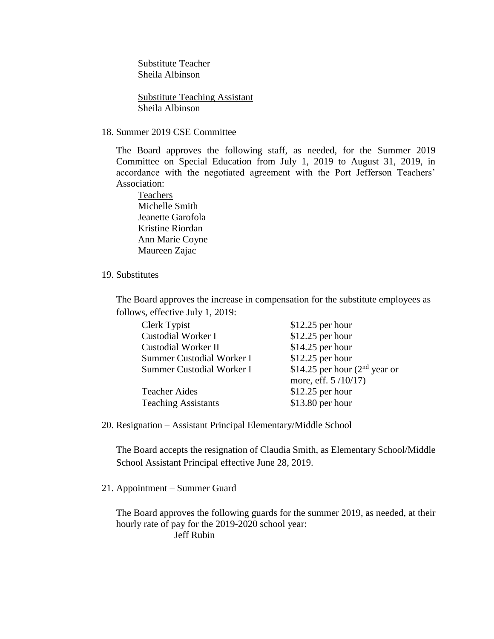Substitute Teacher Sheila Albinson

Substitute Teaching Assistant Sheila Albinson

### 18. Summer 2019 CSE Committee

The Board approves the following staff, as needed, for the Summer 2019 Committee on Special Education from July 1, 2019 to August 31, 2019, in accordance with the negotiated agreement with the Port Jefferson Teachers' Association:

Teachers Michelle Smith Jeanette Garofola Kristine Riordan Ann Marie Coyne Maureen Zajac

### 19. Substitutes

The Board approves the increase in compensation for the substitute employees as follows, effective July 1, 2019:

| Clerk Typist               | $$12.25$ per hour               |
|----------------------------|---------------------------------|
| <b>Custodial Worker I</b>  | $$12.25$ per hour               |
| <b>Custodial Worker II</b> | $$14.25$ per hour               |
| Summer Custodial Worker I  | $$12.25$ per hour               |
| Summer Custodial Worker I  | \$14.25 per hour $(2nd$ year or |
|                            | more, eff. 5/10/17)             |
| <b>Teacher Aides</b>       | $$12.25$ per hour               |
| <b>Teaching Assistants</b> | \$13.80 per hour                |

20. Resignation – Assistant Principal Elementary/Middle School

The Board accepts the resignation of Claudia Smith, as Elementary School/Middle School Assistant Principal effective June 28, 2019.

### 21. Appointment – Summer Guard

The Board approves the following guards for the summer 2019, as needed, at their hourly rate of pay for the 2019-2020 school year: Jeff Rubin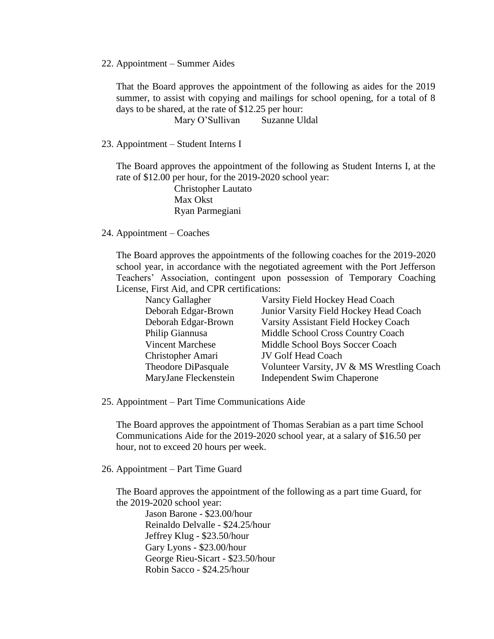#### 22. Appointment – Summer Aides

That the Board approves the appointment of the following as aides for the 2019 summer, to assist with copying and mailings for school opening, for a total of 8 days to be shared, at the rate of \$12.25 per hour:

Mary O'Sullivan Suzanne Uldal

23. Appointment – Student Interns I

The Board approves the appointment of the following as Student Interns I, at the rate of \$12.00 per hour, for the 2019-2020 school year:

> Christopher Lautato Max Okst Ryan Parmegiani

24. Appointment – Coaches

The Board approves the appointments of the following coaches for the 2019-2020 school year, in accordance with the negotiated agreement with the Port Jefferson Teachers' Association, contingent upon possession of Temporary Coaching License, First Aid, and CPR certifications:

| Nancy Gallagher         | Varsity Field Hockey Head Coach            |
|-------------------------|--------------------------------------------|
| Deborah Edgar-Brown     | Junior Varsity Field Hockey Head Coach     |
| Deborah Edgar-Brown     | Varsity Assistant Field Hockey Coach       |
| Philip Giannusa         | Middle School Cross Country Coach          |
| <b>Vincent Marchese</b> | Middle School Boys Soccer Coach            |
| Christopher Amari       | <b>JV Golf Head Coach</b>                  |
| Theodore DiPasquale     | Volunteer Varsity, JV & MS Wrestling Coach |
| MaryJane Fleckenstein   | <b>Independent Swim Chaperone</b>          |

25. Appointment – Part Time Communications Aide

The Board approves the appointment of Thomas Serabian as a part time School Communications Aide for the 2019-2020 school year, at a salary of \$16.50 per hour, not to exceed 20 hours per week.

26. Appointment – Part Time Guard

The Board approves the appointment of the following as a part time Guard, for the 2019-2020 school year:

Jason Barone - \$23.00/hour Reinaldo Delvalle - \$24.25/hour Jeffrey Klug - \$23.50/hour Gary Lyons - \$23.00/hour George Rieu-Sicart - \$23.50/hour Robin Sacco - \$24.25/hour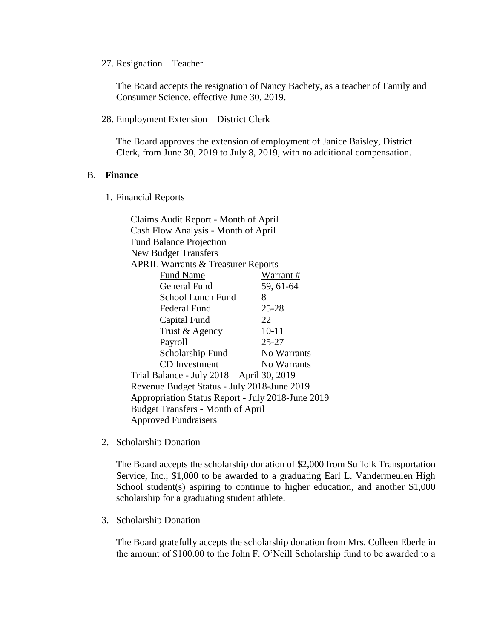27. Resignation – Teacher

The Board accepts the resignation of Nancy Bachety, as a teacher of Family and Consumer Science, effective June 30, 2019.

28. Employment Extension – District Clerk

The Board approves the extension of employment of Janice Baisley, District Clerk, from June 30, 2019 to July 8, 2019, with no additional compensation.

#### B. **Finance**

1. Financial Reports

Claims Audit Report - Month of April Cash Flow Analysis - Month of April Fund Balance Projection New Budget Transfers APRIL Warrants & Treasurer Reports Fund Name Warrant # General Fund 59, 61-64 School Lunch Fund 8 Federal Fund 25-28 Capital Fund 22 Trust & Agency 10-11 Payroll 25-27 Scholarship Fund No Warrants CD Investment No Warrants Trial Balance - July 2018 – April 30, 2019 Revenue Budget Status - July 2018-June 2019 Appropriation Status Report - July 2018-June 2019 Budget Transfers - Month of April Approved Fundraisers

2. Scholarship Donation

The Board accepts the scholarship donation of \$2,000 from Suffolk Transportation Service, Inc.; \$1,000 to be awarded to a graduating Earl L. Vandermeulen High School student(s) aspiring to continue to higher education, and another  $$1,000$ scholarship for a graduating student athlete.

3. Scholarship Donation

The Board gratefully accepts the scholarship donation from Mrs. Colleen Eberle in the amount of \$100.00 to the John F. O'Neill Scholarship fund to be awarded to a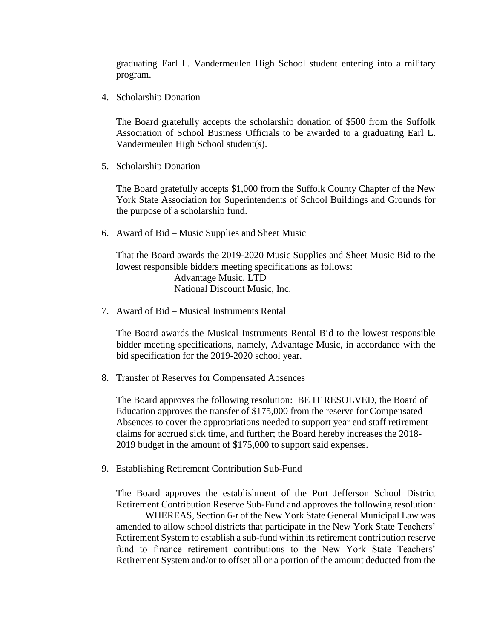graduating Earl L. Vandermeulen High School student entering into a military program.

4. Scholarship Donation

The Board gratefully accepts the scholarship donation of \$500 from the Suffolk Association of School Business Officials to be awarded to a graduating Earl L. Vandermeulen High School student(s).

5. Scholarship Donation

The Board gratefully accepts \$1,000 from the Suffolk County Chapter of the New York State Association for Superintendents of School Buildings and Grounds for the purpose of a scholarship fund.

6. Award of Bid – Music Supplies and Sheet Music

That the Board awards the 2019-2020 Music Supplies and Sheet Music Bid to the lowest responsible bidders meeting specifications as follows: Advantage Music, LTD National Discount Music, Inc.

7. Award of Bid – Musical Instruments Rental

The Board awards the Musical Instruments Rental Bid to the lowest responsible bidder meeting specifications, namely, Advantage Music, in accordance with the bid specification for the 2019-2020 school year.

8. Transfer of Reserves for Compensated Absences

The Board approves the following resolution: BE IT RESOLVED, the Board of Education approves the transfer of \$175,000 from the reserve for Compensated Absences to cover the appropriations needed to support year end staff retirement claims for accrued sick time, and further; the Board hereby increases the 2018- 2019 budget in the amount of \$175,000 to support said expenses.

9. Establishing Retirement Contribution Sub-Fund

The Board approves the establishment of the Port Jefferson School District Retirement Contribution Reserve Sub-Fund and approves the following resolution:

WHEREAS, Section 6-r of the New York State General Municipal Law was amended to allow school districts that participate in the New York State Teachers' Retirement System to establish a sub-fund within its retirement contribution reserve fund to finance retirement contributions to the New York State Teachers' Retirement System and/or to offset all or a portion of the amount deducted from the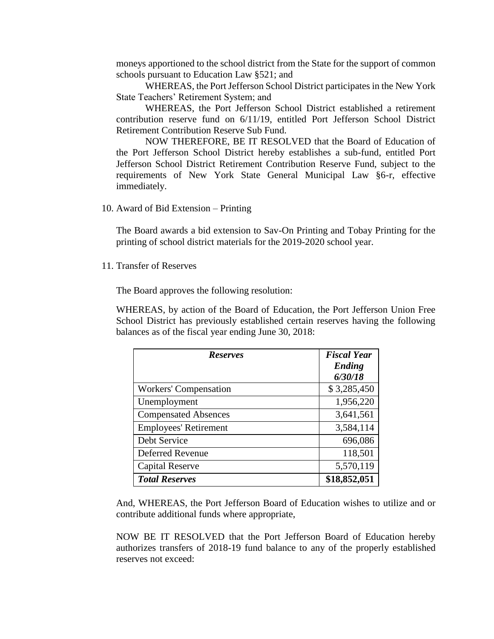moneys apportioned to the school district from the State for the support of common schools pursuant to Education Law §521; and

WHEREAS, the Port Jefferson School District participates in the New York State Teachers' Retirement System; and

WHEREAS, the Port Jefferson School District established a retirement contribution reserve fund on 6/11/19, entitled Port Jefferson School District Retirement Contribution Reserve Sub Fund.

NOW THEREFORE, BE IT RESOLVED that the Board of Education of the Port Jefferson School District hereby establishes a sub-fund, entitled Port Jefferson School District Retirement Contribution Reserve Fund, subject to the requirements of New York State General Municipal Law §6-r, effective immediately.

10. Award of Bid Extension – Printing

The Board awards a bid extension to Sav-On Printing and Tobay Printing for the printing of school district materials for the 2019-2020 school year.

11. Transfer of Reserves

The Board approves the following resolution:

WHEREAS, by action of the Board of Education, the Port Jefferson Union Free School District has previously established certain reserves having the following balances as of the fiscal year ending June 30, 2018:

| <b>Reserves</b>              | <b>Fiscal Year</b> |
|------------------------------|--------------------|
|                              | Ending             |
|                              | 6/30/18            |
| <b>Workers' Compensation</b> | \$3,285,450        |
| Unemployment                 | 1,956,220          |
| <b>Compensated Absences</b>  | 3,641,561          |
| <b>Employees' Retirement</b> | 3,584,114          |
| Debt Service                 | 696,086            |
| <b>Deferred Revenue</b>      | 118,501            |
| <b>Capital Reserve</b>       | 5,570,119          |
| <b>Total Reserves</b>        | \$18,852,051       |

And, WHEREAS, the Port Jefferson Board of Education wishes to utilize and or contribute additional funds where appropriate,

NOW BE IT RESOLVED that the Port Jefferson Board of Education hereby authorizes transfers of 2018-19 fund balance to any of the properly established reserves not exceed: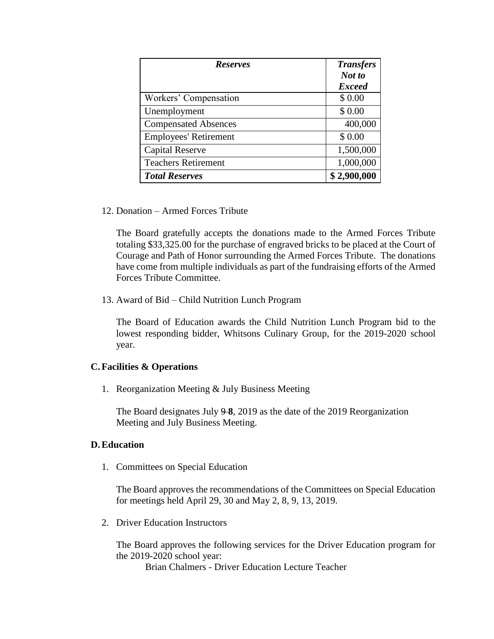| <b>Reserves</b>              | <b>Transfers</b> |
|------------------------------|------------------|
|                              | Not to           |
|                              | <b>Exceed</b>    |
| Workers' Compensation        | \$0.00           |
| Unemployment                 | \$0.00           |
| <b>Compensated Absences</b>  | 400,000          |
| <b>Employees' Retirement</b> | \$0.00           |
| <b>Capital Reserve</b>       | 1,500,000        |
| <b>Teachers Retirement</b>   | 1,000,000        |
| <b>Total Reserves</b>        | \$2,900,000      |

12. Donation – Armed Forces Tribute

The Board gratefully accepts the donations made to the Armed Forces Tribute totaling \$33,325.00 for the purchase of engraved bricks to be placed at the Court of Courage and Path of Honor surrounding the Armed Forces Tribute. The donations have come from multiple individuals as part of the fundraising efforts of the Armed Forces Tribute Committee.

13. Award of Bid – Child Nutrition Lunch Program

The Board of Education awards the Child Nutrition Lunch Program bid to the lowest responding bidder, Whitsons Culinary Group, for the 2019-2020 school year.

# **C.Facilities & Operations**

1. Reorganization Meeting & July Business Meeting

The Board designates July 9-8, 2019 as the date of the 2019 Reorganization Meeting and July Business Meeting.

# **D.Education**

1. Committees on Special Education

The Board approves the recommendations of the Committees on Special Education for meetings held April 29, 30 and May 2, 8, 9, 13, 2019.

2. Driver Education Instructors

The Board approves the following services for the Driver Education program for the 2019-2020 school year:

Brian Chalmers - Driver Education Lecture Teacher